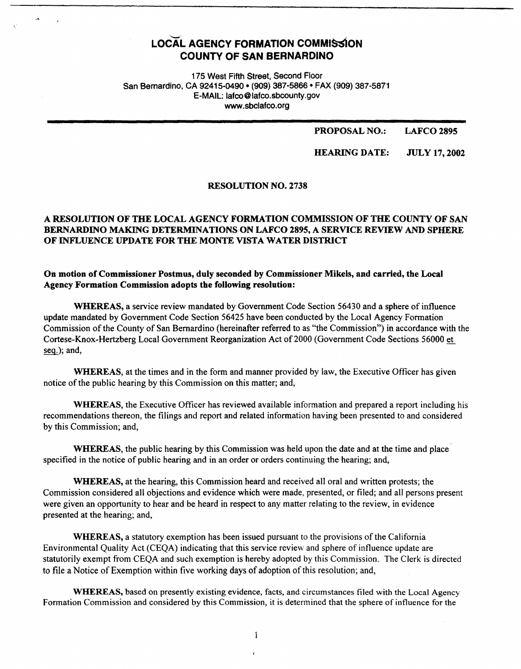# LOCAL AGENCY FORMATION COMMISSION **COUNTY OF SAN BERNARDINO**

175 West Fifth Street, Second Floor San Bernardino, CA 92415-0490 • (909) 387-5866 • FAX (909) 387-5871 E-MAIL: lafco@lafco.sbcounty.gov www.sbclafco.org

> **PROPOSAL NO.: LAFCO2895**

**HEARING DATE:**  JULY 17, **2002** 

#### RESOLUTION NO. 2738

## **A RESOLUTION OF THE LOCAL AGENCY FORMATION COMMISSION OF THE COUNTY OF SAN BERNARDINO MAKING DETERMINATIONS ON LAFCO 2895, A SERVICE REVIEW AND SPHERE OF INFLUENCE UPDATE FOR THE MONTE VISTA WATER DISTRICT**

### **On motion of Commissioner Postmus, duly seconded by Commissioner Mikels, and carried, the Local Agency Formation Commission adopts the following resolution:**

**WHEREAS,** a service review mandated by Government Code Section 56430 and a sphere of influence update mandated by Government Code Section 56425 have been conducted by the Local Agency Formation Commission of the County of San Bernardino (hereinafter referred to as "the Commission") in accordance with the Cortese-Knox-Hertzberg Local Government Reorganization Act of2000 (Government Code Sections 56000 et seq.); and,

**WHEREAS,** at the times and in the form and manner provided by law, the Executive Officer has given notice of the public hearing by this Commission on this matter; and,

**WHEREAS,** the Executive Officer has reviewed available information and prepared a report including his recommendations thereon, the filings and report and related information having been presented to and considered by this Commission; and,

**WHEREAS,** the pubJic hearing by this Commission was held upon the date and at the time and place specified in the notice of public hearing and in an order or orders continuing the hearing; and,

**WHEREAS,** at the hearing, this Commission heard and received all oral and written protests; the Commission considered all objections and evidence which were made, presented, or filed; and all persons present were given an opportunity to hear and be heard in respect to any matter relating to the review, in evidence presented at the hearing; and,

**WHEREAS,** a statutory exemption has been issued pursuant to the provisions of the California Environmental Quality Act (CEQA) indicating that this service review and sphere of influence update are statutorily exempt from CEQA and such exemption is hereby adopted by this Commission. The Clerk is directed to file a Notice of Exemption within five working days of adoption of this resolution; and,

**WHEREAS,** based on presently existing evidence, facts, and circumstances filed with the Local Agency Formation Commission and considered by this Commission, it is determined that the sphere of influence for the

 $\mathbf{1}$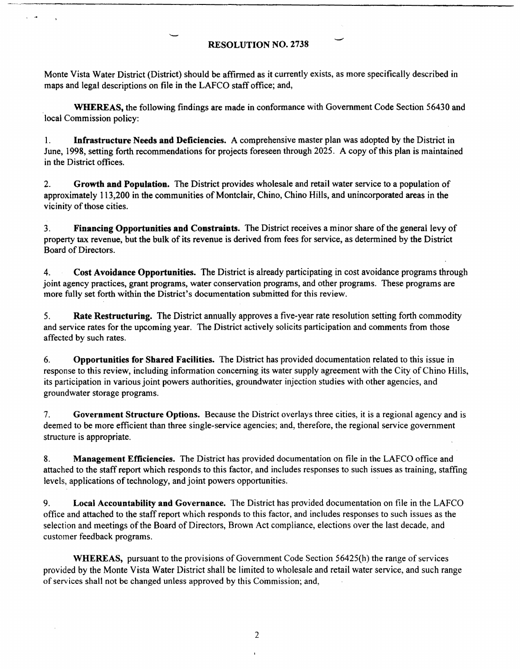## **RESOLUTION NO. 2738**

Monte Vista Water District (District) should be affirmed as it currently exists, as more specifically described in maps and legal descriptions on file in the LAFCO staff office; and,

**WHEREAS,** the following findings are made in conformance with Government Code Section 56430 and local Commission policy:

1. **Infrastructure Needs and Deficiencies.** A comprehensive master plan was adopted by the District in June, 1998, setting forth recommendations for projects foreseen through 2025. A copy of this plan is maintained in the District offices.

2. **Growth and Population.** The District provides wholesale and retail water service to a population of approximately 113,200 in the communities of Montclair, Chino, Chino Hills, and unincorporated areas in the vicinity of those cities.

3. **Financing Opportunities and Constraints.** The District receives a minor share of the general levy of property tax revenue, but the bulk of its revenue is derived from fees for service, as determined by the District Board of Directors.

4. **Cost Avoidance Opportunities.** The District is already participating in cost avoidance programs through joint agency practices, grant programs, water conservation programs, and other programs. These programs are more fully set forth within the District's documentation submitted for this review.

5. **Rate Restructuring.** The District annually approves a five~year rate resolution setting forth commodity and service rates for the upcoming year. The District actively solicits participation and comments from those affected by such rates.

6. **Opportunities for Shared Facilities.** The District has provided documentation related to this issue in response to this review, including information concerning its water supply agreement with the City of Chino Hills, its participation in various joint powers authorities, groundwater injection studies with other agencies, and groundwater storage programs.

7. **Government Structure Options.** Because the District overlays three cities, it is a regional agency and is deemed to be more efficient than three single-service agencies; and, therefore, the regional service government structure is appropriate.

8. **Management Efficiencies.** The District has provided documentation on file in the LAFCO office and attached to the staff report which responds to this factor, and includes responses to such issues as training, staffing levels, applications of technology, and joint powers opportunities.

9. **Local Accountability and Governance.** The District has provided documentation on file in the LAFCO office and attached to the staff report which responds to this factor, and includes responses to such issues as the selection and meetings of the Board of Directors, Brown Act compliance, elections over the last decade, and customer feedback programs.

**WHEREAS,** pursuant to the provisions of Government Code Section 56425(h) the range of services provided by the Monte Vista Water District shall be limited to wholesale and retail water service, and such range of services shall not be changed unless approved by this Commission; and,

2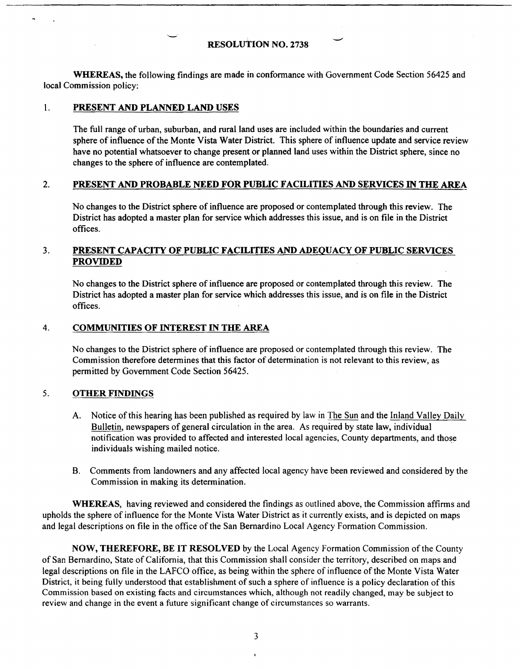## **RESOLUTION NO.** 2738

**WHEREAS,** the following findings are made in conformance with Government Code Section 56425 and local Commission policy:

#### 1. **PRESENT AND PLANNED LAND USES**

The full range of urban, suburban, and rural land uses are included within the boundaries and current sphere of influence of the Monte Vista Water District. This sphere of influence update and service review have no potential whatsoever to change present or planned land uses within the District sphere, since no changes to the sphere of influence are contemplated.

#### 2. **PRESENT AND PROBABLE NEED FOR PUBLIC FACILITIES AND SERVICES** IN **THE AREA**

No changes to the District sphere of influence are proposed or contemplated through this review. The District has adopted a master plan for service which addresses this issue, and is on file in the District offices.

## 3. **PRESENT CAPACITY OF PUBLIC FACILITIES AND ADEQUACY OF PUBLIC SERVICES PROVIDED**

No changes to the District sphere of influence are proposed or contemplated through this review. The District has adopted a master plan for service which addresses this issue, and is on file in the District offices.

#### 4. **COMMUNITIES OF INTEREST** IN **THE AREA**

No changes to the District sphere of influence are proposed or contemplated through this review. The Commission therefore determines that this factor of determination is not relevant to this review, as permitted by Government Code Section 56425.

#### 5. **OTHER FINDINGS**

- A. Notice of this hearing has been published as required by law in The Sun and the Inland Valley Daily Bulletin, newspapers of general circulation in the area. As required by state law, individual notification was provided to affected and interested local agencies, County departments, and those individuals wishing mailed notice.
- B. Comments from landowners and any affected local agency have been reviewed and considered by the Commission in making its determination.

**WHEREAS,** having reviewed and considered the findings as outlined above, the Commission affirms and upholds the sphere of influence for the Monte Vista Water District as it currently exists, and is depicted on maps and legal descriptions on file in the office of the San Bernardino Local Agency Formation Commission.

**NOW, THEREFORE, BE IT RESOLVED** by the Local Agency Formation Commission of the County of San Bernardino, State of California, that this Commission shall consider the territory, described on maps and legal descriptions on file in the LAFCO office, as being within the sphere of influence of the Monte Vista Water District, it being fully understood that establishment of such a sphere of influence is a policy declaration of this Commission based on existing facts and circumstances which, although not readily changed, may be subject to review and change in the event a future significant change of circumstances so warrants.